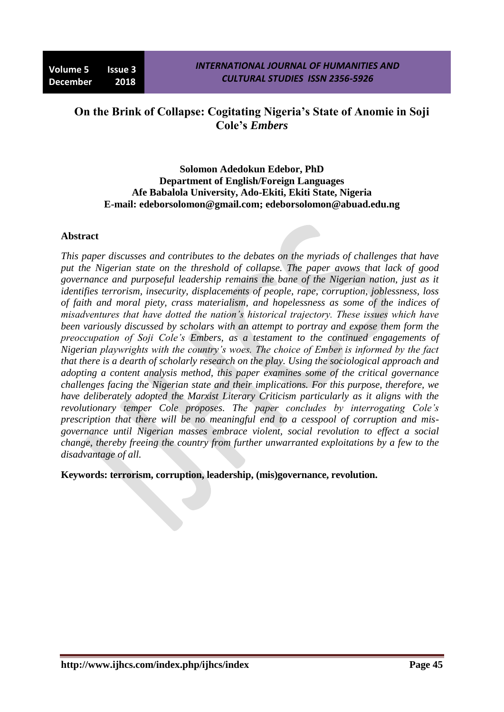# **On the Brink of Collapse: Cogitating Nigeria's State of Anomie in Soji Cole's** *Embers*

#### **Solomon Adedokun Edebor, PhD Department of English/Foreign Languages Afe Babalola University, Ado-Ekiti, Ekiti State, Nigeria E-mail: [edeborsolomon@gmail.com;](mailto:edeborsolomon@gmail.com) edeborsolomon@abuad.edu.ng**

# **Abstract**

*This paper discusses and contributes to the debates on the myriads of challenges that have put the Nigerian state on the threshold of collapse. The paper avows that lack of good governance and purposeful leadership remains the bane of the Nigerian nation, just as it identifies terrorism, insecurity, displacements of people, rape, corruption, joblessness, loss of faith and moral piety, crass materialism, and hopelessness as some of the indices of misadventures that have dotted the nation's historical trajectory. These issues which have been variously discussed by scholars with an attempt to portray and expose them form the preoccupation of Soji Cole's Embers, as a testament to the continued engagements of Nigerian playwrights with the country's woes. The choice of Ember is informed by the fact that there is a dearth of scholarly research on the play. Using the sociological approach and adopting a content analysis method, this paper examines some of the critical governance challenges facing the Nigerian state and their implications. For this purpose, therefore, we have deliberately adopted the Marxist Literary Criticism particularly as it aligns with the revolutionary temper Cole proposes. The paper concludes by interrogating Cole's prescription that there will be no meaningful end to a cesspool of corruption and misgovernance until Nigerian masses embrace violent, social revolution to effect a social change, thereby freeing the country from further unwarranted exploitations by a few to the disadvantage of all.*

**Keywords: terrorism, corruption, leadership, (mis)governance, revolution.**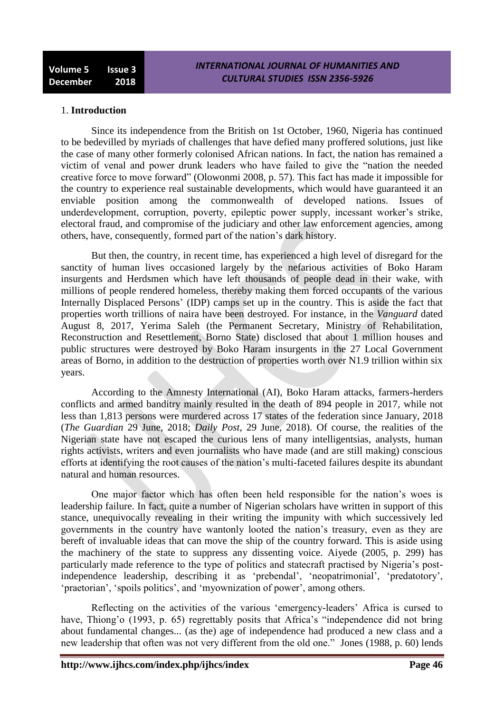#### 1. **Introduction**

Since its independence from the British on 1st October, 1960, Nigeria has continued to be bedevilled by myriads of challenges that have defied many proffered solutions, just like the case of many other formerly colonised African nations. In fact, the nation has remained a victim of venal and power drunk leaders who have failed to give the "nation the needed creative force to move forward‖ (Olowonmi 2008, p. 57). This fact has made it impossible for the country to experience real sustainable developments, which would have guaranteed it an enviable position among the commonwealth of developed nations. Issues of underdevelopment, corruption, poverty, epileptic power supply, incessant worker's strike, electoral fraud, and compromise of the judiciary and other law enforcement agencies, among others, have, consequently, formed part of the nation's dark history.

But then, the country, in recent time, has experienced a high level of disregard for the sanctity of human lives occasioned largely by the nefarious activities of Boko Haram insurgents and Herdsmen which have left thousands of people dead in their wake, with millions of people rendered homeless, thereby making them forced occupants of the various Internally Displaced Persons' (IDP) camps set up in the country. This is aside the fact that properties worth trillions of naira have been destroyed. For instance, in the *Vanguard* dated August 8, 2017, Yerima Saleh (the Permanent Secretary, Ministry of Rehabilitation, Reconstruction and Resettlement, Borno State) disclosed that about 1 million houses and public structures were destroyed by Boko Haram insurgents in the 27 Local Government areas of Borno, in addition to the destruction of properties worth over N1.9 trillion within six years.

According to the Amnesty International (AI), Boko Haram attacks, farmers-herders conflicts and armed banditry mainly resulted in the death of 894 people in 2017, while not less than 1,813 persons were murdered across 17 states of the federation since January, 2018 (*The Guardian* 29 June, 2018; *Daily Post*, 29 June, 2018). Of course, the realities of the Nigerian state have not escaped the curious lens of many intelligentsias, analysts, human rights activists, writers and even journalists who have made (and are still making) conscious efforts at identifying the root causes of the nation's multi-faceted failures despite its abundant natural and human resources.

One major factor which has often been held responsible for the nation's woes is leadership failure. In fact, quite a number of Nigerian scholars have written in support of this stance, unequivocally revealing in their writing the impunity with which successively led governments in the country have wantonly looted the nation's treasury, even as they are bereft of invaluable ideas that can move the ship of the country forward. This is aside using the machinery of the state to suppress any dissenting voice. Aiyede (2005, p. 299) has particularly made reference to the type of politics and statecraft practised by Nigeria's postindependence leadership, describing it as 'prebendal', 'neopatrimonial', 'predatotory', ‗praetorian', ‗spoils politics', and ‗myownization of power', among others.

Reflecting on the activities of the various 'emergency-leaders' Africa is cursed to have, Thiong'o (1993, p. 65) regrettably posits that Africa's "independence did not bring about fundamental changes... (as the) age of independence had produced a new class and a new leadership that often was not very different from the old one." Jones (1988, p. 60) lends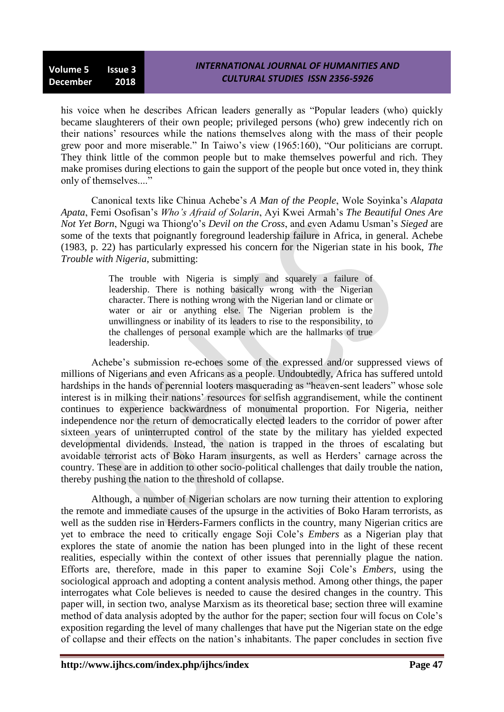# *INTERNATIONAL JOURNAL OF HUMANITIES AND CULTURAL STUDIES ISSN 2356-5926*

his voice when he describes African leaders generally as "Popular leaders (who) quickly became slaughterers of their own people; privileged persons (who) grew indecently rich on their nations' resources while the nations themselves along with the mass of their people grew poor and more miserable." In Taiwo's view (1965:160), "Our politicians are corrupt. They think little of the common people but to make themselves powerful and rich. They make promises during elections to gain the support of the people but once voted in, they think only of themselves...."

Canonical texts like Chinua Achebe's *A Man of the People*, Wole Soyinka's *Alapata Apata*, Femi Osofisan's *Who's Afraid of Solarin*, Ayi Kwei Armah's *The Beautiful Ones Are Not Yet Born*, Ngugi wa Thiong'o's *Devil on the Cross*, and even Adamu Usman's *Sieged* are some of the texts that poignantly foreground leadership failure in Africa, in general. Achebe (1983, p. 22) has particularly expressed his concern for the Nigerian state in his book, *The Trouble with Nigeria*, submitting:

> The trouble with Nigeria is simply and squarely a failure of leadership. There is nothing basically wrong with the Nigerian character. There is nothing wrong with the Nigerian land or climate or water or air or anything else. The Nigerian problem is the unwillingness or inability of its leaders to rise to the responsibility, to the challenges of personal example which are the hallmarks of true leadership.

Achebe's submission re-echoes some of the expressed and/or suppressed views of millions of Nigerians and even Africans as a people. Undoubtedly, Africa has suffered untold hardships in the hands of perennial looters masquerading as "heaven-sent leaders" whose sole interest is in milking their nations' resources for selfish aggrandisement, while the continent continues to experience backwardness of monumental proportion. For Nigeria, neither independence nor the return of democratically elected leaders to the corridor of power after sixteen years of uninterrupted control of the state by the military has yielded expected developmental dividends. Instead, the nation is trapped in the throes of escalating but avoidable terrorist acts of Boko Haram insurgents, as well as Herders' carnage across the country. These are in addition to other socio-political challenges that daily trouble the nation, thereby pushing the nation to the threshold of collapse.

Although, a number of Nigerian scholars are now turning their attention to exploring the remote and immediate causes of the upsurge in the activities of Boko Haram terrorists, as well as the sudden rise in Herders-Farmers conflicts in the country, many Nigerian critics are yet to embrace the need to critically engage Soji Cole's *Embers* as a Nigerian play that explores the state of anomie the nation has been plunged into in the light of these recent realities, especially within the context of other issues that perennially plague the nation. Efforts are, therefore, made in this paper to examine Soji Cole's *Embers*, using the sociological approach and adopting a content analysis method. Among other things, the paper interrogates what Cole believes is needed to cause the desired changes in the country. This paper will, in section two, analyse Marxism as its theoretical base; section three will examine method of data analysis adopted by the author for the paper; section four will focus on Cole's exposition regarding the level of many challenges that have put the Nigerian state on the edge of collapse and their effects on the nation's inhabitants. The paper concludes in section five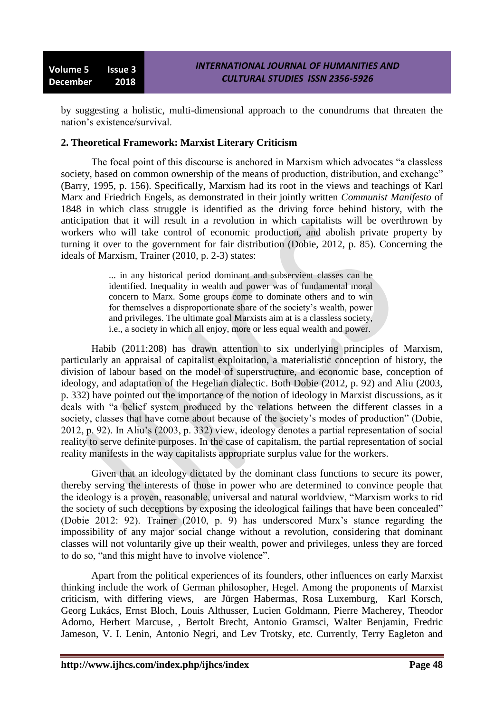by suggesting a holistic, multi-dimensional approach to the conundrums that threaten the nation's existence/survival.

#### **2. Theoretical Framework: Marxist Literary Criticism**

The focal point of this discourse is anchored in Marxism which advocates "a classless" society, based on common ownership of the means of production, distribution, and exchange" (Barry, 1995, p. 156). Specifically, Marxism had its root in the views and teachings of Karl Marx and Friedrich Engels, as demonstrated in their jointly written *Communist Manifesto* of 1848 in which class struggle is identified as the driving force behind history, with the anticipation that it will result in a revolution in which capitalists will be overthrown by workers who will take control of economic production, and abolish private property by turning it over to the government for fair distribution (Dobie, 2012, p. 85). Concerning the ideals of Marxism, Trainer (2010, p. 2-3) states:

> ... in any historical period dominant and subservient classes can be identified. Inequality in wealth and power was of fundamental moral concern to Marx. Some groups come to dominate others and to win for themselves a disproportionate share of the society's wealth, power and privileges. The ultimate goal Marxists aim at is a classless society, i.e., a society in which all enjoy, more or less equal wealth and power.

Habib (2011:208) has drawn attention to six underlying principles of Marxism, particularly an appraisal of capitalist exploitation, a materialistic conception of history, the division of labour based on the model of superstructure, and economic base, conception of ideology, and adaptation of the Hegelian dialectic. Both Dobie (2012, p. 92) and Aliu (2003, p. 332) have pointed out the importance of the notion of ideology in Marxist discussions, as it deals with "a belief system produced by the relations between the different classes in a society, classes that have come about because of the society's modes of production" (Dobie, 2012, p. 92). In Aliu's (2003, p. 332) view, ideology denotes a partial representation of social reality to serve definite purposes. In the case of capitalism, the partial representation of social reality manifests in the way capitalists appropriate surplus value for the workers.

Given that an ideology dictated by the dominant class functions to secure its power, thereby serving the interests of those in power who are determined to convince people that the ideology is a proven, reasonable, universal and natural worldview, "Marxism works to rid the society of such deceptions by exposing the ideological failings that have been concealed" (Dobie 2012: 92). Trainer (2010, p. 9) has underscored Marx's stance regarding the impossibility of any major social change without a revolution, considering that dominant classes will not voluntarily give up their wealth, power and privileges, unless they are forced to do so, "and this might have to involve violence".

Apart from the political experiences of its founders, other influences on early Marxist thinking include the work of German philosopher, Hegel. Among the proponents of Marxist criticism, with differing views, are [Jürgen Habermas,](../../../../../../Downloads/J�rgen%20Habermas) [Rosa Luxemburg,](http://en.wikipedia.org/wiki/Rosa_Luxemburg) [Karl Korsch,](http://en.wikipedia.org/wiki/Karl_Korsch) [Georg Lukács,](http://en.wikipedia.org/wiki/Georg_Luk%C3%A1cs) [Ernst Bloch,](http://en.wikipedia.org/wiki/Ernst_Bloch_%28philosopher%29) [Louis Althusser,](http://en.wikipedia.org/wiki/Louis_Althusser) Lucien Goldmann, Pierre Macherey, [Theodor](http://en.wikipedia.org/wiki/Theodor_Adorno)  [Adorno,](http://en.wikipedia.org/wiki/Theodor_Adorno) [Herbert Marcuse,](http://en.wikipedia.org/wiki/Herbert_Marcuse) , [Bertolt](http://en.wikipedia.org/wiki/Bertolt_Brecht) Brecht, [Antonio Gramsci,](http://en.wikipedia.org/wiki/Antonio_Gramsci) [Walter Benjamin,](http://en.wikipedia.org/wiki/Walter_Benjamin) [Fredric](http://en.wikipedia.org/wiki/Fredric_Jameson)  [Jameson,](http://en.wikipedia.org/wiki/Fredric_Jameson) [V. I. Lenin,](../../../../../../Downloads/V.%20I.%20Lenin) [Antonio Negri,](http://en.wikipedia.org/wiki/Antonio_Negri) and [Lev Trotsky,](http://en.wikipedia.org/wiki/Lev_Trotsky) etc. Currently, Terry Eagleton and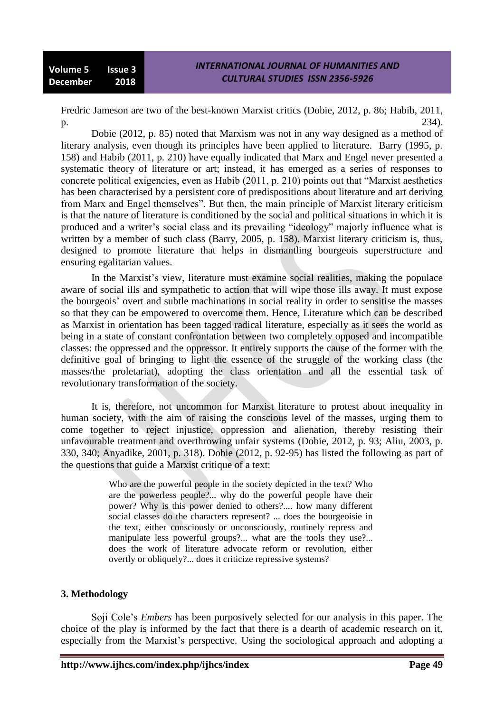Fredric Jameson are two of the best-known Marxist critics (Dobie, 2012, p. 86; Habib, 2011, p. 234).

Dobie (2012, p. 85) noted that Marxism was not in any way designed as a method of literary analysis, even though its principles have been applied to literature. Barry (1995, p. 158) and Habib (2011, p. 210) have equally indicated that Marx and Engel never presented a systematic theory of literature or art; instead, it has emerged as a series of responses to concrete political exigencies, even as Habib  $(2011, p. 210)$  points out that "Marxist aesthetics has been characterised by a persistent core of predispositions about literature and art deriving from Marx and Engel themselves". But then, the main principle of Marxist literary criticism is that the nature of literature is conditioned by the social and political situations in which it is produced and a writer's social class and its prevailing "ideology" majorly influence what is written by a member of such class (Barry, 2005, p. 158). Marxist literary criticism is, thus, designed to promote literature that helps in dismantling bourgeois superstructure and ensuring egalitarian values.

In the Marxist's view, literature must examine social realities, making the populace aware of social ills and sympathetic to action that will wipe those ills away. It must expose the bourgeois' overt and subtle machinations in social reality in order to sensitise the masses so that they can be empowered to overcome them. Hence, Literature which can be described as Marxist in orientation has been tagged radical literature, especially as it sees the world as being in a state of constant confrontation between two completely opposed and incompatible classes: the oppressed and the oppressor. It entirely supports the cause of the former with the definitive goal of bringing to light the essence of the struggle of the working class (the masses/the proletariat), adopting the class orientation and all the essential task of revolutionary transformation of the society.

It is, therefore, not uncommon for Marxist literature to protest about inequality in human society, with the aim of raising the conscious level of the masses, urging them to come together to reject injustice, oppression and alienation, thereby resisting their unfavourable treatment and overthrowing unfair systems (Dobie, 2012, p. 93; Aliu, 2003, p. 330, 340; Anyadike, 2001, p. 318). Dobie (2012, p. 92-95) has listed the following as part of the questions that guide a Marxist critique of a text:

> Who are the powerful people in the society depicted in the text? Who are the powerless people?... why do the powerful people have their power? Why is this power denied to others?.... how many different social classes do the characters represent? ... does the bourgeoisie in the text, either consciously or unconsciously, routinely repress and manipulate less powerful groups?... what are the tools they use?... does the work of literature advocate reform or revolution, either overtly or obliquely?... does it criticize repressive systems?

#### **3. Methodology**

Soji Cole's *Embers* has been purposively selected for our analysis in this paper. The choice of the play is informed by the fact that there is a dearth of academic research on it, especially from the Marxist's perspective. Using the sociological approach and adopting a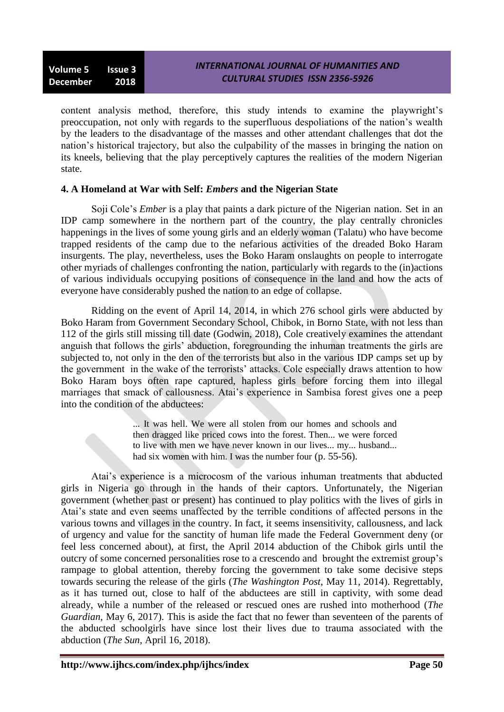content analysis method, therefore, this study intends to examine the playwright's preoccupation, not only with regards to the superfluous despoliations of the nation's wealth by the leaders to the disadvantage of the masses and other attendant challenges that dot the nation's historical trajectory, but also the culpability of the masses in bringing the nation on its kneels, believing that the play perceptively captures the realities of the modern Nigerian state.

# **4. A Homeland at War with Self:** *Embers* **and the Nigerian State**

Soji Cole's *Ember* is a play that paints a dark picture of the Nigerian nation. Set in an IDP camp somewhere in the northern part of the country, the play centrally chronicles happenings in the lives of some young girls and an elderly woman (Talatu) who have become trapped residents of the camp due to the nefarious activities of the dreaded Boko Haram insurgents. The play, nevertheless, uses the Boko Haram onslaughts on people to interrogate other myriads of challenges confronting the nation, particularly with regards to the (in)actions of various individuals occupying positions of consequence in the land and how the acts of everyone have considerably pushed the nation to an edge of collapse.

Ridding on the event of April 14, 2014, in which 276 school girls were abducted by Boko Haram from Government Secondary School, Chibok, in Borno State, with not less than 112 of the girls still missing till date (Godwin, 2018), Cole creatively examines the attendant anguish that follows the girls' abduction, foregrounding the inhuman treatments the girls are subjected to, not only in the den of the terrorists but also in the various IDP camps set up by the government in the wake of the terrorists' attacks. Cole especially draws attention to how Boko Haram boys often rape captured, hapless girls before forcing them into illegal marriages that smack of callousness. Atai's experience in Sambisa forest gives one a peep into the condition of the abductees:

> ... It was hell. We were all stolen from our homes and schools and then dragged like priced cows into the forest. Then... we were forced to live with men we have never known in our lives... my... husband... had six women with him. I was the number four (p. 55-56).

Atai's experience is a microcosm of the various inhuman treatments that abducted girls in Nigeria go through in the hands of their captors. Unfortunately, the Nigerian government (whether past or present) has continued to play politics with the lives of girls in Atai's state and even seems unaffected by the terrible conditions of affected persons in the various towns and villages in the country. In fact, it seems insensitivity, callousness, and lack of urgency and value for the sanctity of human life made the Federal Government deny (or feel less concerned about), at first, the April 2014 abduction of the Chibok girls until the outcry of some concerned personalities rose to a crescendo and brought the extremist group's rampage to global attention, thereby forcing the government to take some decisive steps towards securing the release of the girls (*The Washington Post*, May 11, 2014). Regrettably, as it has turned out, close to half of the abductees are still in captivity, with some dead already, while a number of the released or rescued ones are rushed into motherhood (*The Guardian,* May 6, 2017). This is aside the fact that no fewer than seventeen of the parents of the abducted schoolgirls have since lost their lives due to trauma associated with the abduction (*The Sun*, April 16, 2018).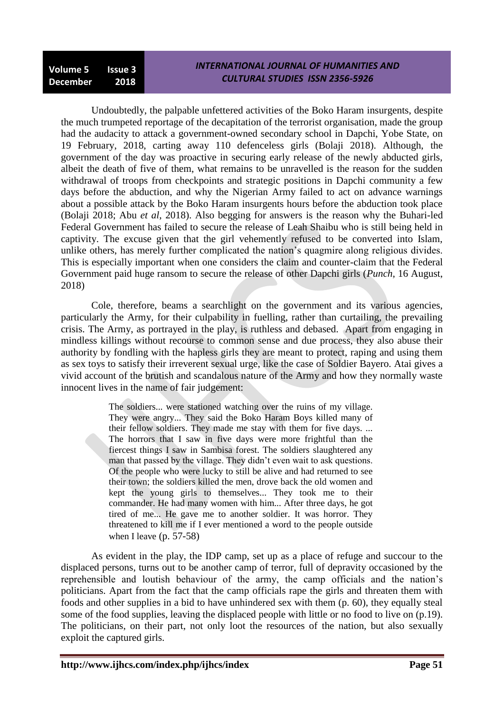# *INTERNATIONAL JOURNAL OF HUMANITIES AND CULTURAL STUDIES ISSN 2356-5926*

Undoubtedly, the palpable unfettered activities of the Boko Haram insurgents, despite the much trumpeted reportage of the decapitation of the terrorist organisation, made the group had the audacity to attack a government-owned secondary school in Dapchi, Yobe State, on 19 February, 2018, carting away 110 defenceless girls (Bolaji 2018). Although, the government of the day was proactive in securing early release of the newly abducted girls, albeit the death of five of them, what remains to be unravelled is the reason for the sudden withdrawal of troops from checkpoints and strategic positions in Dapchi community a few days before the abduction, and why the Nigerian Army failed to act on advance warnings about a possible attack by the Boko Haram insurgents hours before the abduction took place (Bolaji 2018; Abu *et al*, 2018). Also begging for answers is the reason why the Buhari-led Federal Government has failed to secure the release of Leah Shaibu who is still being held in captivity. The excuse given that the girl vehemently refused to be converted into Islam, unlike others, has merely further complicated the nation's quagmire along religious divides. This is especially important when one considers the claim and counter-claim that the Federal Government paid huge ransom to secure the release of other Dapchi girls (*Punch*, 16 August, 2018)

Cole, therefore, beams a searchlight on the government and its various agencies, particularly the Army, for their culpability in fuelling, rather than curtailing, the prevailing crisis. The Army, as portrayed in the play, is ruthless and debased. Apart from engaging in mindless killings without recourse to common sense and due process, they also abuse their authority by fondling with the hapless girls they are meant to protect, raping and using them as sex toys to satisfy their irreverent sexual urge, like the case of Soldier Bayero. Atai gives a vivid account of the brutish and scandalous nature of the Army and how they normally waste innocent lives in the name of fair judgement:

> The soldiers... were stationed watching over the ruins of my village. They were angry... They said the Boko Haram Boys killed many of their fellow soldiers. They made me stay with them for five days. ... The horrors that I saw in five days were more frightful than the fiercest things I saw in Sambisa forest. The soldiers slaughtered any man that passed by the village. They didn't even wait to ask questions. Of the people who were lucky to still be alive and had returned to see their town; the soldiers killed the men, drove back the old women and kept the young girls to themselves... They took me to their commander. He had many women with him... After three days, he got tired of me... He gave me to another soldier. It was horror. They threatened to kill me if I ever mentioned a word to the people outside when I leave (p. 57-58)

As evident in the play, the IDP camp, set up as a place of refuge and succour to the displaced persons, turns out to be another camp of terror, full of depravity occasioned by the reprehensible and loutish behaviour of the army, the camp officials and the nation's politicians. Apart from the fact that the camp officials rape the girls and threaten them with foods and other supplies in a bid to have unhindered sex with them (p. 60), they equally steal some of the food supplies, leaving the displaced people with little or no food to live on (p.19). The politicians, on their part, not only loot the resources of the nation, but also sexually exploit the captured girls.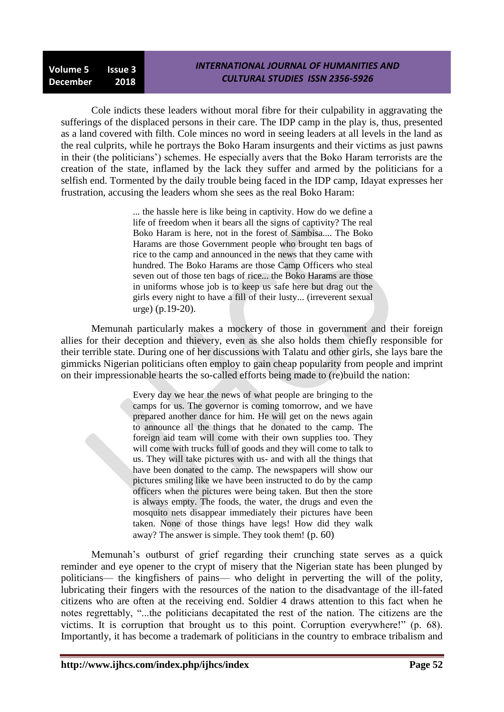# *INTERNATIONAL JOURNAL OF HUMANITIES AND CULTURAL STUDIES ISSN 2356-5926*

Cole indicts these leaders without moral fibre for their culpability in aggravating the sufferings of the displaced persons in their care. The IDP camp in the play is, thus, presented as a land covered with filth. Cole minces no word in seeing leaders at all levels in the land as the real culprits, while he portrays the Boko Haram insurgents and their victims as just pawns in their (the politicians') schemes. He especially avers that the Boko Haram terrorists are the creation of the state, inflamed by the lack they suffer and armed by the politicians for a selfish end. Tormented by the daily trouble being faced in the IDP camp, Idayat expresses her frustration, accusing the leaders whom she sees as the real Boko Haram:

> ... the hassle here is like being in captivity. How do we define a life of freedom when it bears all the signs of captivity? The real Boko Haram is here, not in the forest of Sambisa.... The Boko Harams are those Government people who brought ten bags of rice to the camp and announced in the news that they came with hundred. The Boko Harams are those Camp Officers who steal seven out of those ten bags of rice... the Boko Harams are those in uniforms whose job is to keep us safe here but drag out the girls every night to have a fill of their lusty... (irreverent sexual urge) (p.19-20).

Memunah particularly makes a mockery of those in government and their foreign allies for their deception and thievery, even as she also holds them chiefly responsible for their terrible state. During one of her discussions with Talatu and other girls, she lays bare the gimmicks Nigerian politicians often employ to gain cheap popularity from people and imprint on their impressionable hearts the so-called efforts being made to (re)build the nation:

> Every day we hear the news of what people are bringing to the camps for us. The governor is coming tomorrow, and we have prepared another dance for him. He will get on the news again to announce all the things that he donated to the camp. The foreign aid team will come with their own supplies too. They will come with trucks full of goods and they will come to talk to us. They will take pictures with us- and with all the things that have been donated to the camp. The newspapers will show our pictures smiling like we have been instructed to do by the camp officers when the pictures were being taken. But then the store is always empty. The foods, the water, the drugs and even the mosquito nets disappear immediately their pictures have been taken. None of those things have legs! How did they walk away? The answer is simple. They took them! (p. 60)

Memunah's outburst of grief regarding their crunching state serves as a quick reminder and eye opener to the crypt of misery that the Nigerian state has been plunged by politicians— the kingfishers of pains— who delight in perverting the will of the polity, lubricating their fingers with the resources of the nation to the disadvantage of the ill-fated citizens who are often at the receiving end. Soldier 4 draws attention to this fact when he notes regrettably, "...the politicians decapitated the rest of the nation. The citizens are the victims. It is corruption that brought us to this point. Corruption everywhere!" (p. 68). Importantly, it has become a trademark of politicians in the country to embrace tribalism and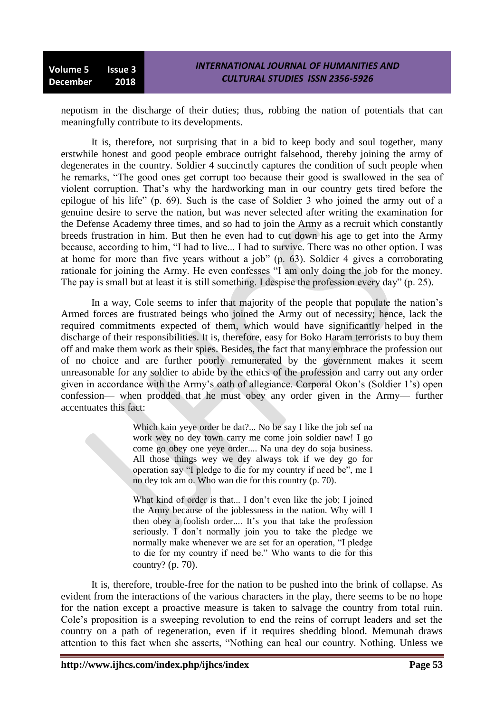nepotism in the discharge of their duties; thus, robbing the nation of potentials that can meaningfully contribute to its developments.

It is, therefore, not surprising that in a bid to keep body and soul together, many erstwhile honest and good people embrace outright falsehood, thereby joining the army of degenerates in the country. Soldier 4 succinctly captures the condition of such people when he remarks, "The good ones get corrupt too because their good is swallowed in the sea of violent corruption. That's why the hardworking man in our country gets tired before the epilogue of his life" (p. 69). Such is the case of Soldier 3 who joined the army out of a genuine desire to serve the nation, but was never selected after writing the examination for the Defense Academy three times, and so had to join the Army as a recruit which constantly breeds frustration in him. But then he even had to cut down his age to get into the Army because, according to him, "I had to live... I had to survive. There was no other option. I was at home for more than five years without a job"  $(p. 63)$ . Soldier 4 gives a corroborating rationale for joining the Army. He even confesses "I am only doing the job for the money. The pay is small but at least it is still something. I despise the profession every day" (p. 25).

In a way, Cole seems to infer that majority of the people that populate the nation's Armed forces are frustrated beings who joined the Army out of necessity; hence, lack the required commitments expected of them, which would have significantly helped in the discharge of their responsibilities. It is, therefore, easy for Boko Haram terrorists to buy them off and make them work as their spies. Besides, the fact that many embrace the profession out of no choice and are further poorly remunerated by the government makes it seem unreasonable for any soldier to abide by the ethics of the profession and carry out any order given in accordance with the Army's oath of allegiance. Corporal Okon's (Soldier 1's) open confession— when prodded that he must obey any order given in the Army— further accentuates this fact:

> Which kain yeve order be dat?... No be say I like the job sef na work wey no dey town carry me come join soldier naw! I go come go obey one yeye order.... Na una dey do soja business. All those things wey we dey always tok if we dey go for operation say "I pledge to die for my country if need be", me I no dey tok am o. Who wan die for this country (p. 70).

> What kind of order is that... I don't even like the job; I joined the Army because of the joblessness in the nation. Why will I then obey a foolish order.... It's you that take the profession seriously. I don't normally join you to take the pledge we normally make whenever we are set for an operation, "I pledge to die for my country if need be." Who wants to die for this country? (p. 70).

It is, therefore, trouble-free for the nation to be pushed into the brink of collapse. As evident from the interactions of the various characters in the play, there seems to be no hope for the nation except a proactive measure is taken to salvage the country from total ruin. Cole's proposition is a sweeping revolution to end the reins of corrupt leaders and set the country on a path of regeneration, even if it requires shedding blood. Memunah draws attention to this fact when she asserts, "Nothing can heal our country. Nothing. Unless we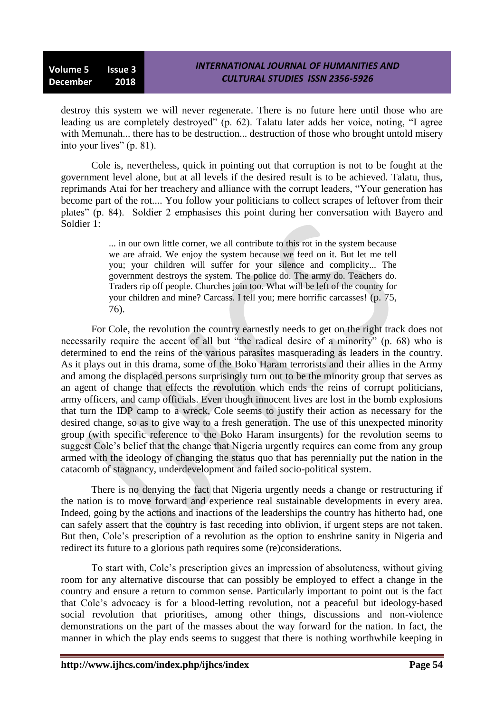destroy this system we will never regenerate. There is no future here until those who are leading us are completely destroyed" (p. 62). Talatu later adds her voice, noting, "I agree with Memunah... there has to be destruction... destruction of those who brought untold misery into your lives"  $(p. 81)$ .

Cole is, nevertheless, quick in pointing out that corruption is not to be fought at the government level alone, but at all levels if the desired result is to be achieved. Talatu, thus, reprimands Atai for her treachery and alliance with the corrupt leaders, "Your generation has become part of the rot.... You follow your politicians to collect scrapes of leftover from their plates" (p. 84). Soldier 2 emphasises this point during her conversation with Bayero and Soldier 1:

> ... in our own little corner, we all contribute to this rot in the system because we are afraid. We enjoy the system because we feed on it. But let me tell you; your children will suffer for your silence and complicity... The government destroys the system. The police do. The army do. Teachers do. Traders rip off people. Churches join too. What will be left of the country for your children and mine? Carcass. I tell you; mere horrific carcasses! (p. 75, 76).

For Cole, the revolution the country earnestly needs to get on the right track does not necessarily require the accent of all but "the radical desire of a minority" (p. 68) who is determined to end the reins of the various parasites masquerading as leaders in the country. As it plays out in this drama, some of the Boko Haram terrorists and their allies in the Army and among the displaced persons surprisingly turn out to be the minority group that serves as an agent of change that effects the revolution which ends the reins of corrupt politicians, army officers, and camp officials. Even though innocent lives are lost in the bomb explosions that turn the IDP camp to a wreck, Cole seems to justify their action as necessary for the desired change, so as to give way to a fresh generation. The use of this unexpected minority group (with specific reference to the Boko Haram insurgents) for the revolution seems to suggest Cole's belief that the change that Nigeria urgently requires can come from any group armed with the ideology of changing the status quo that has perennially put the nation in the catacomb of stagnancy, underdevelopment and failed socio-political system.

There is no denying the fact that Nigeria urgently needs a change or restructuring if the nation is to move forward and experience real sustainable developments in every area. Indeed, going by the actions and inactions of the leaderships the country has hitherto had, one can safely assert that the country is fast receding into oblivion, if urgent steps are not taken. But then, Cole's prescription of a revolution as the option to enshrine sanity in Nigeria and redirect its future to a glorious path requires some (re)considerations.

To start with, Cole's prescription gives an impression of absoluteness, without giving room for any alternative discourse that can possibly be employed to effect a change in the country and ensure a return to common sense. Particularly important to point out is the fact that Cole's advocacy is for a blood-letting revolution, not a peaceful but ideology-based social revolution that prioritises, among other things, discussions and non-violence demonstrations on the part of the masses about the way forward for the nation. In fact, the manner in which the play ends seems to suggest that there is nothing worthwhile keeping in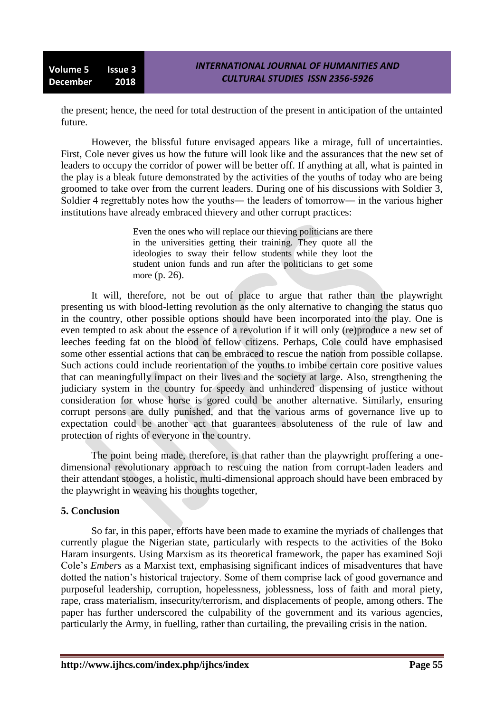the present; hence, the need for total destruction of the present in anticipation of the untainted future.

However, the blissful future envisaged appears like a mirage, full of uncertainties. First, Cole never gives us how the future will look like and the assurances that the new set of leaders to occupy the corridor of power will be better off. If anything at all, what is painted in the play is a bleak future demonstrated by the activities of the youths of today who are being groomed to take over from the current leaders. During one of his discussions with Soldier 3, Soldier 4 regrettably notes how the youths― the leaders of tomorrow― in the various higher institutions have already embraced thievery and other corrupt practices:

> Even the ones who will replace our thieving politicians are there in the universities getting their training. They quote all the ideologies to sway their fellow students while they loot the student union funds and run after the politicians to get some more (p. 26).

It will, therefore, not be out of place to argue that rather than the playwright presenting us with blood-letting revolution as the only alternative to changing the status quo in the country, other possible options should have been incorporated into the play. One is even tempted to ask about the essence of a revolution if it will only (re)produce a new set of leeches feeding fat on the blood of fellow citizens. Perhaps, Cole could have emphasised some other essential actions that can be embraced to rescue the nation from possible collapse. Such actions could include reorientation of the youths to imbibe certain core positive values that can meaningfully impact on their lives and the society at large. Also, strengthening the judiciary system in the country for speedy and unhindered dispensing of justice without consideration for whose horse is gored could be another alternative. Similarly, ensuring corrupt persons are dully punished, and that the various arms of governance live up to expectation could be another act that guarantees absoluteness of the rule of law and protection of rights of everyone in the country.

The point being made, therefore, is that rather than the playwright proffering a onedimensional revolutionary approach to rescuing the nation from corrupt-laden leaders and their attendant stooges, a holistic, multi-dimensional approach should have been embraced by the playwright in weaving his thoughts together,

# **5. Conclusion**

So far, in this paper, efforts have been made to examine the myriads of challenges that currently plague the Nigerian state, particularly with respects to the activities of the Boko Haram insurgents. Using Marxism as its theoretical framework, the paper has examined Soji Cole's *Embers* as a Marxist text, emphasising significant indices of misadventures that have dotted the nation's historical trajectory. Some of them comprise lack of good governance and purposeful leadership, corruption, hopelessness, joblessness, loss of faith and moral piety, rape, crass materialism, insecurity/terrorism, and displacements of people, among others. The paper has further underscored the culpability of the government and its various agencies, particularly the Army, in fuelling, rather than curtailing, the prevailing crisis in the nation.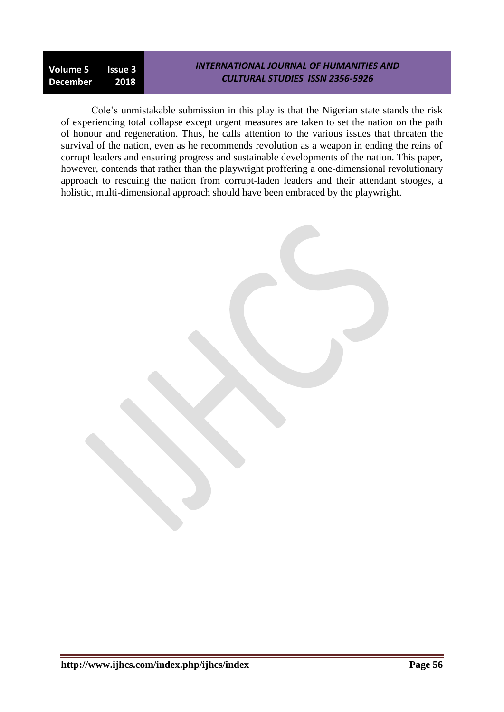**Volume 5 Issue 3 December 2018**

#### *INTERNATIONAL JOURNAL OF HUMANITIES AND CULTURAL STUDIES ISSN 2356-5926*

Cole's unmistakable submission in this play is that the Nigerian state stands the risk of experiencing total collapse except urgent measures are taken to set the nation on the path of honour and regeneration. Thus, he calls attention to the various issues that threaten the survival of the nation, even as he recommends revolution as a weapon in ending the reins of corrupt leaders and ensuring progress and sustainable developments of the nation. This paper, however, contends that rather than the playwright proffering a one-dimensional revolutionary approach to rescuing the nation from corrupt-laden leaders and their attendant stooges, a holistic, multi-dimensional approach should have been embraced by the playwright.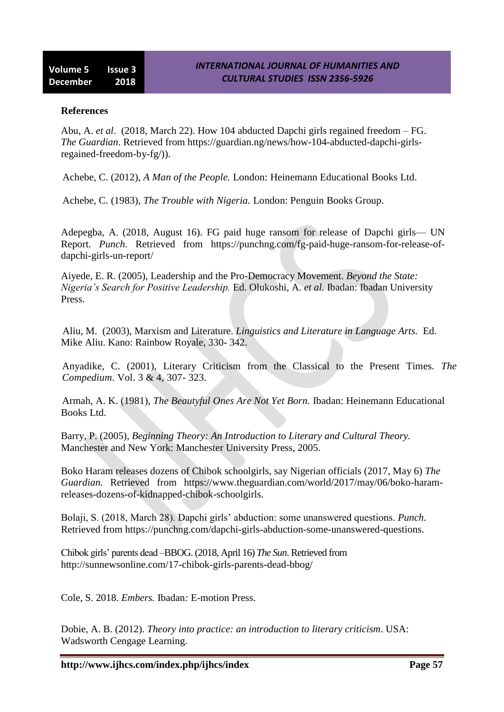#### **References**

Abu, A. *et al*. (2018, March 22). How 104 abducted Dapchi girls regained freedom – FG. *The Guardian*. Retrieved from [https://guardian.ng/news/how-104-abducted-dapchi-girls](https://guardian.ng/news/how-104-abducted-dapchi-girls-regained-freedom-by-fg/))[regained-freedom-by-fg/\)\)](https://guardian.ng/news/how-104-abducted-dapchi-girls-regained-freedom-by-fg/)).

Achebe, C. (2012), *A Man of the People.* London: Heinemann Educational Books Ltd.

Achebe, C. (1983), *The Trouble with Nigeria.* London: Penguin Books Group.

Adepegba, A. (2018, August 16). FG paid huge ransom for release of Dapchi girls— UN Report. *Punch*. Retrieved from [https://punchng.com/fg-paid-huge-ransom-for-release-of](https://punchng.com/fg-paid-huge-ransom-for-release-of-dapchi-girls-un-report/)[dapchi-girls-un-report/](https://punchng.com/fg-paid-huge-ransom-for-release-of-dapchi-girls-un-report/)

Aiyede, E. R. (2005), Leadership and the Pro-Democracy Movement. *Beyond the State: Nigeria's Search for Positive Leadership.* Ed. Olukoshi, A. *et al.* Ibadan: Ibadan University Press.

Aliu, M. (2003), Marxism and Literature. *Linguistics and Literature in Language Arts.* Ed. Mike Aliu. Kano: Rainbow Royale, 330- 342.

Anyadike, C. (2001), Literary Criticism from the Classical to the Present Times. *The Compedium*. Vol. 3 & 4, 307- 323.

Armah, A. K. (1981), *The Beautyful Ones Are Not Yet Born.* Ibadan: Heinemann Educational Books Ltd.

Barry, P. (2005), *Beginning Theory: An Introduction to Literary and Cultural Theory.*  Manchester and New York: Manchester University Press, 2005.

Boko Haram releases dozens of Chibok schoolgirls, say Nigerian officials (2017, May 6) *The Guardian.* Retrieved from [https://www.theguardian.com/world/2017/may/06/boko-h](https://www.theguardian.com/world/2017/may/06/boko-)aramreleases-dozens-of-kidnapped-chibok-schoolgirls.

Bolaji, S. (2018, March 28). Dapchi girls' abduction: some unanswered questions. *Punch*. Retrieved from [https://punchng.com/dapchi-girls-abduction-some-unanswered-questions.](https://punchng.com/dapchi-girls-abduction-some-unanswered-questions)

Chibok girls' parents dead –BBOG. (2018, April 16) *The Sun*. Retrieved from http://sunnewsonline.com/17-chibok-girls-parents-dead-bbog/

Cole, S. 2018. *Embers.* Ibadan*:* E-motion Press.

Dobie, A. B. (2012). *Theory into practice: an introduction to literary criticism*. USA: Wadsworth Cengage Learning.

**http://www.ijhcs.com/index.php/ijhcs/index Page 57**